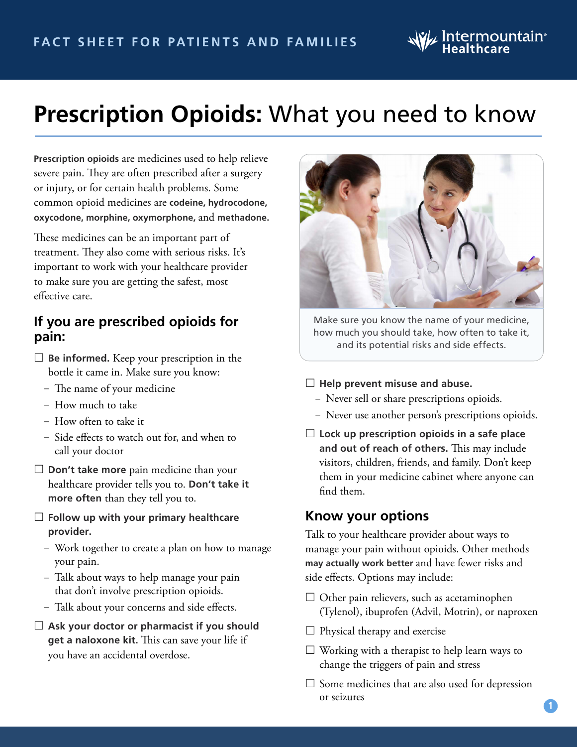# $\mathcal{U}_\ell$  Intermountain $^{\circ}$

# **Prescription Opioids:** What you need to know

**Prescription opioids** are medicines used to help relieve severe pain. They are often prescribed after a surgery or injury, or for certain health problems. Some common opioid medicines are **codeine, hydrocodone, oxycodone, morphine, oxymorphone,** and **methadone.**

These medicines can be an important part of treatment. They also come with serious risks. It's important to work with your healthcare provider to make sure you are getting the safest, most effective care.

### **If you are prescribed opioids for pain:**

- **Be informed.** Keep your prescription in the bottle it came in. Make sure you know:
	- The name of your medicine
	- How much to take
	- How often to take it
	- Side effects to watch out for, and when to call your doctor
- **Don't take more** pain medicine than your healthcare provider tells you to. **Don't take it more often** than they tell you to.
- **Follow up with your primary healthcare provider.**
	- Work together to create a plan on how to manage your pain.
	- Talk about ways to help manage your pain that don't involve prescription opioids.
	- Talk about your concerns and side effects.
- **Ask your doctor or pharmacist if you should get a naloxone kit.** This can save your life if you have an accidental overdose.



Make sure you know the name of your medicine, how much you should take, how often to take it, and its potential risks and side effects.

- **Help prevent misuse and abuse.**
	- Never sell or share prescriptions opioids.
	- Never use another person's prescriptions opioids.
- **Lock up prescription opioids in a safe place and out of reach of others.** This may include visitors, children, friends, and family. Don't keep them in your medicine cabinet where anyone can find them.

#### **Know your options**

Talk to your healthcare provider about ways to manage your pain without opioids. Other methods **may actually work better** and have fewer risks and side effects. Options may include:

- $\Box$  Other pain relievers, such as acetaminophen (Tylenol), ibuprofen (Advil, Motrin), or naproxen
- $\Box$  Physical therapy and exercise
- $\Box$  Working with a therapist to help learn ways to change the triggers of pain and stress
- $\square$  Some medicines that are also used for depression or seizures

**1**